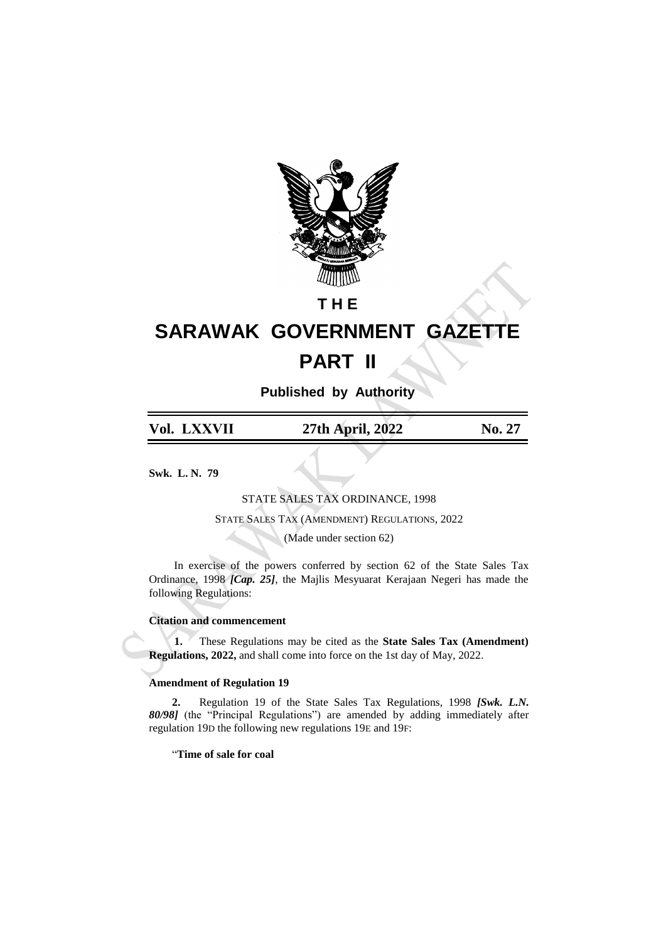

## **T H E**

# **SARAWAK GOVERNMENT GAZETTE PART II**

**Published by Authority**

| Vol. LXXVII | 27th April, 2022 | No. 27 |
|-------------|------------------|--------|
|             |                  |        |

**Swk. L. N. 79**

STATE SALES TAX ORDINANCE, 1998

STATE SALES TAX (AMENDMENT) REGULATIONS, 2022

(Made under section 62)

In exercise of the powers conferred by section 62 of the State Sales Tax Ordinance, 1998 *[Cap. 25]*, the Majlis Mesyuarat Kerajaan Negeri has made the following Regulations:

### **Citation and commencement**

**1.** These Regulations may be cited as the **State Sales Tax (Amendment) Regulations, 2022,** and shall come into force on the 1st day of May, 2022.

### **Amendment of Regulation 19**

**2.** Regulation 19 of the State Sales Tax Regulations, 1998 *[Swk. L.N. 80/98]* (the "Principal Regulations") are amended by adding immediately after regulation 19D the following new regulations 19E and 19F:

"**Time of sale for coal**